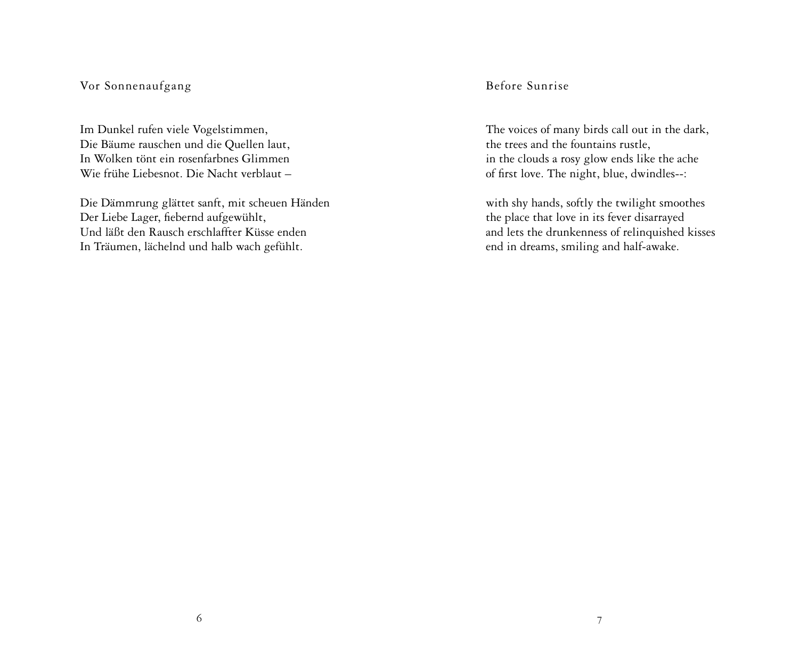# Vor Sonnenaufgang

Im Dunkel rufen viele Vogelstimmen, Die Bäume rauschen und die Quellen laut, In Wolken tönt ein rosenfarbnes Glimmen Wie frühe Liebesnot. Die Nacht verblaut –

Die Dämmrung glättet sanft, mit scheuen Händen Der Liebe Lager, fiebernd aufgewühlt, Und läßt den Rausch erschlaffter Küsse enden In Träumen, lächelnd und halb wach gefühlt.

Before Sunrise

The voices of many birds call out in the dark, the trees and the fountains rustle, in the clouds a rosy glow ends like the ache of first love. The night, blue, dwindles--:

with shy hands, softly the twilight smoothes the place that love in its fever disarrayed and lets the drunkenness of relinquished kisses end in dreams, smiling and half-awake.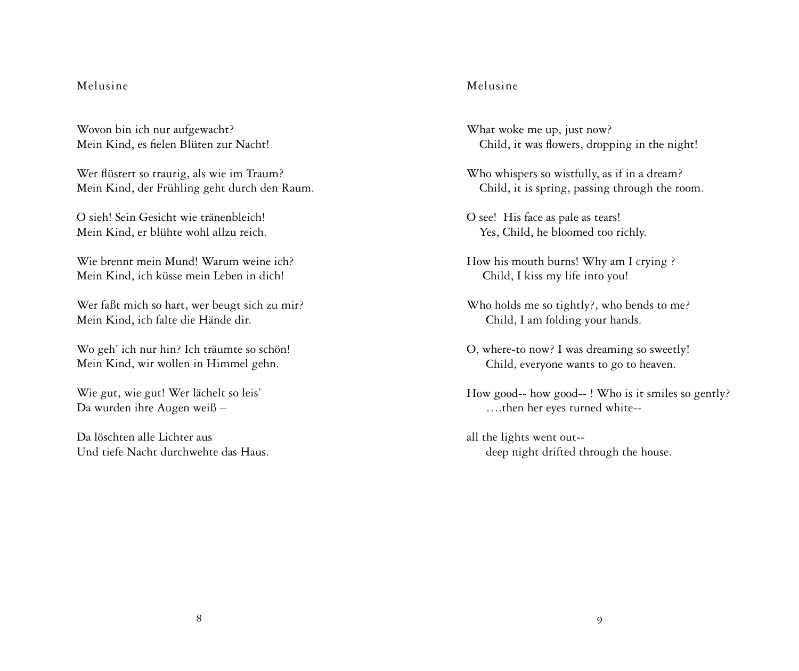## Melusine

Wovon bin ich nur aufgewacht? Mein Kind, es fielen Blüten zur Nacht!

Wer flüstert so traurig, als wie im Traum? Mein Kind, der Frühling geht durch den Raum.

O sieh! Sein Gesicht wie tränenbleich! Mein Kind, er blühte wohl allzu reich.

Wie brennt mein Mund! Warum weine ich? Mein Kind, ich küsse mein Leben in dich!

Wer faßt mich so hart, wer beugt sich zu mir? Mein Kind, ich falte die Hände dir.

Wo geh' ich nur hin? Ich träumte so schön! Mein Kind, wir wollen in Himmel gehn.

Wie gut, wie gut! Wer lächelt so leis' Da wurden ihre Augen weiß –

Da löschten alle Lichter aus Und tiefe Nacht durchwehte das Haus.

# Melusine

What woke me up, just now? Child, it was flowers, dropping in the night!

Who whispers so wistfully, as if in a dream? Child, it is spring, passing through the room.

O see! His face as pale as tears! Yes, Child, he bloomed too richly.

How his mouth burns! Why am I crying ? Child, I kiss my life into you!

- Who holds me so tightly?, who bends to me? Child, I am folding your hands.
- O, where-to now? I was dreaming so sweetly! Child, everyone wants to go to heaven.
- How good-- how good-- ! Who is it smiles so gently? ….then her eyes turned white--
- all the lights went out- deep night drifted through the house.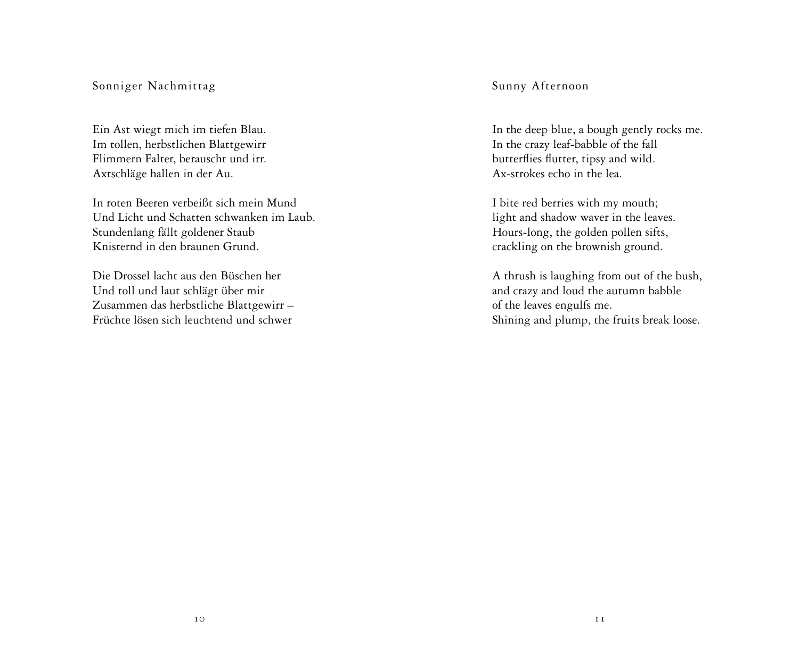## Sonniger Nachmittag

Ein Ast wiegt mich im tiefen Blau. Im tollen, herbstlichen Blattgewirr Flimmern Falter, berauscht und irr. Axtschläge hallen in der Au.

In roten Beeren verbeißt sich mein Mund Und Licht und Schatten schwanken im Laub. Stundenlang fällt goldener Staub Knisternd in den braunen Grund.

Die Drossel lacht aus den Büschen her Und toll und laut schlägt über mir Zusammen das herbstliche Blattgewirr – Früchte lösen sich leuchtend und schwer Sunny Afternoon

In the deep blue, a bough gently rocks me. In the crazy leaf-babble of the fall butterflies flutter, tipsy and wild. Ax-strokes echo in the lea.

I bite red berries with my mouth; light and shadow waver in the leaves. Hours-long, the golden pollen sifts, crackling on the brownish ground.

A thrush is laughing from out of the bush, and crazy and loud the autumn babble of the leaves engulfs me. Shining and plump, the fruits break loose.